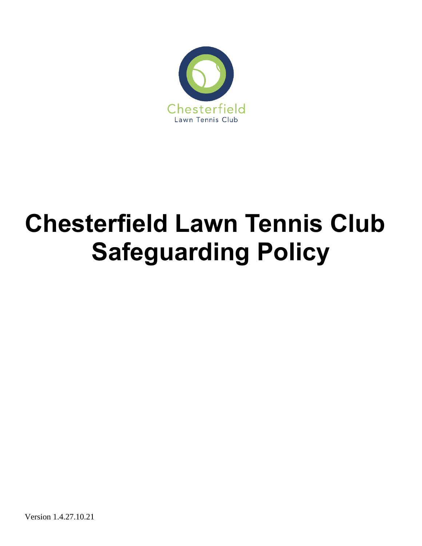

# **Chesterfield Lawn Tennis Club Safeguarding Policy**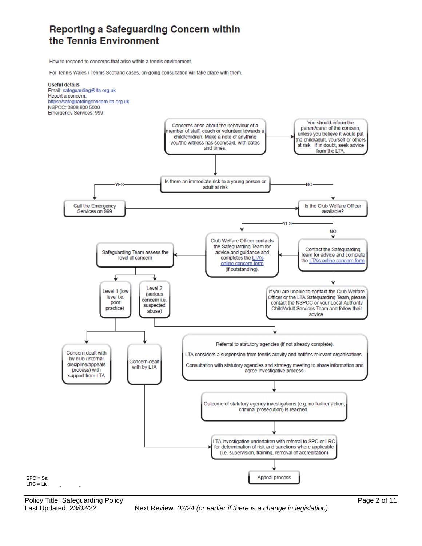## Reporting a Safeguarding Concern within the Tennis Environment

How to respond to concerns that arise within a tennis environment.

For Tennis Wales / Tennis Scotland cases, on-going consultation will take place with them.

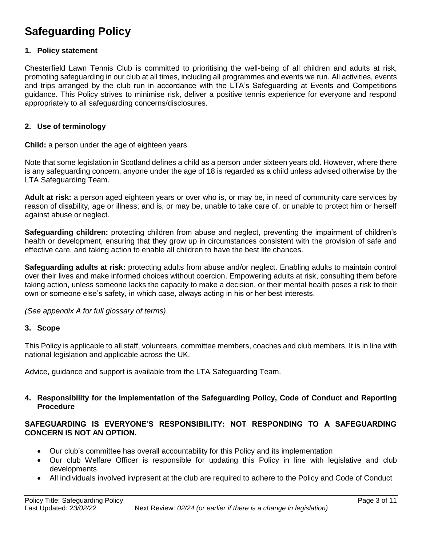## **Safeguarding Policy**

#### **1. Policy statement**

Chesterfield Lawn Tennis Club is committed to prioritising the well-being of all children and adults at risk, promoting safeguarding in our club at all times, including all programmes and events we run. All activities, events and trips arranged by the club run in accordance with the LTA's Safeguarding at Events and Competitions guidance. This Policy strives to minimise risk, deliver a positive tennis experience for everyone and respond appropriately to all safeguarding concerns/disclosures.

#### **2. Use of terminology**

**Child:** a person under the age of eighteen years.

Note that some legislation in Scotland defines a child as a person under sixteen years old. However, where there is any safeguarding concern, anyone under the age of 18 is regarded as a child unless advised otherwise by the LTA Safeguarding Team.

**Adult at risk:** a person aged eighteen years or over who is, or may be, in need of community care services by reason of disability, age or illness; and is, or may be, unable to take care of, or unable to protect him or herself against abuse or neglect.

**Safeguarding children:** protecting children from abuse and neglect, preventing the impairment of children's health or development, ensuring that they grow up in circumstances consistent with the provision of safe and effective care, and taking action to enable all children to have the best life chances.

**Safeguarding adults at risk:** protecting adults from abuse and/or neglect. Enabling adults to maintain control over their lives and make informed choices without coercion. Empowering adults at risk, consulting them before taking action, unless someone lacks the capacity to make a decision, or their mental health poses a risk to their own or someone else's safety, in which case, always acting in his or her best interests.

*(See appendix A for full glossary of terms)*.

#### **3. Scope**

This Policy is applicable to all staff, volunteers, committee members, coaches and club members. It is in line with national legislation and applicable across the UK.

Advice, guidance and support is available from the LTA Safeguarding Team.

#### **4. Responsibility for the implementation of the Safeguarding Policy, Code of Conduct and Reporting Procedure**

#### **SAFEGUARDING IS EVERYONE'S RESPONSIBILITY: NOT RESPONDING TO A SAFEGUARDING CONCERN IS NOT AN OPTION.**

- Our club's committee has overall accountability for this Policy and its implementation
- Our club Welfare Officer is responsible for updating this Policy in line with legislative and club developments
- All individuals involved in/present at the club are required to adhere to the Policy and Code of Conduct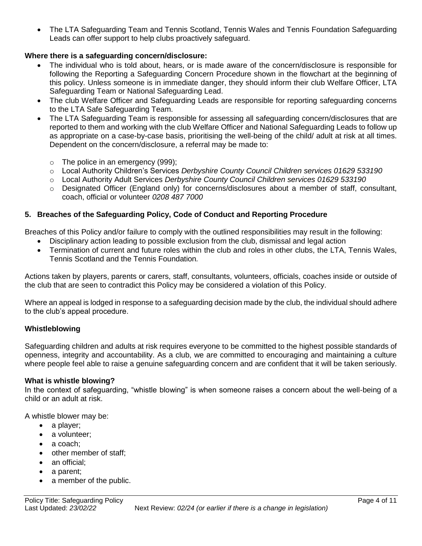The LTA Safeguarding Team and Tennis Scotland, Tennis Wales and Tennis Foundation Safeguarding Leads can offer support to help clubs proactively safeguard.

#### **Where there is a safeguarding concern/disclosure:**

- The individual who is told about, hears, or is made aware of the concern/disclosure is responsible for following the Reporting a Safeguarding Concern Procedure shown in the flowchart at the beginning of this policy. Unless someone is in immediate danger, they should inform their club Welfare Officer, LTA Safeguarding Team or National Safeguarding Lead.
- The club Welfare Officer and Safeguarding Leads are responsible for reporting safeguarding concerns to the LTA Safe Safeguarding Team.
- The LTA Safeguarding Team is responsible for assessing all safeguarding concern/disclosures that are reported to them and working with the club Welfare Officer and National Safeguarding Leads to follow up as appropriate on a case-by-case basis, prioritising the well-being of the child/ adult at risk at all times. Dependent on the concern/disclosure, a referral may be made to:
	- $\circ$  The police in an emergency (999);
	- o Local Authority Children's Services *Derbyshire County Council Children services 01629 533190*
	- o Local Authority Adult Services *Derbyshire County Council Children services 01629 533190*
	- $\circ$  Designated Officer (England only) for concerns/disclosures about a member of staff, consultant, coach, official or volunteer *0208 487 7000*

#### **5. Breaches of the Safeguarding Policy, Code of Conduct and Reporting Procedure**

Breaches of this Policy and/or failure to comply with the outlined responsibilities may result in the following:

- Disciplinary action leading to possible exclusion from the club, dismissal and legal action
- Termination of current and future roles within the club and roles in other clubs, the LTA, Tennis Wales, Tennis Scotland and the Tennis Foundation*.*

Actions taken by players, parents or carers, staff, consultants, volunteers, officials, coaches inside or outside of the club that are seen to contradict this Policy may be considered a violation of this Policy.

Where an appeal is lodged in response to a safeguarding decision made by the club, the individual should adhere to the club's appeal procedure.

#### **Whistleblowing**

Safeguarding children and adults at risk requires everyone to be committed to the highest possible standards of openness, integrity and accountability. As a club, we are committed to encouraging and maintaining a culture where people feel able to raise a genuine safeguarding concern and are confident that it will be taken seriously.

#### **What is whistle blowing?**

In the context of safeguarding, "whistle blowing" is when someone raises a concern about the well-being of a child or an adult at risk.

A whistle blower may be:

- a player;
- a volunteer;
- a coach;
- other member of staff:
- an official:
- a parent;
- a member of the public.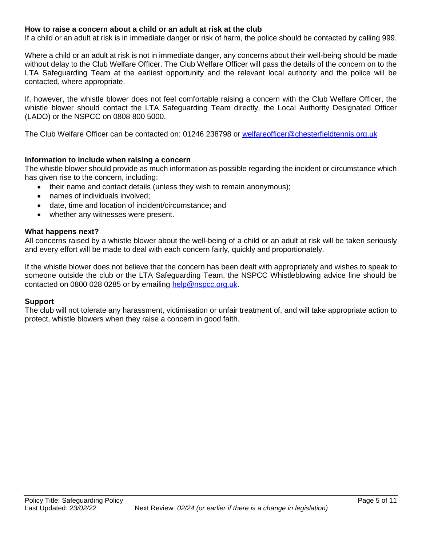#### **How to raise a concern about a child or an adult at risk at the club**

If a child or an adult at risk is in immediate danger or risk of harm, the police should be contacted by calling 999.

Where a child or an adult at risk is not in immediate danger, any concerns about their well-being should be made without delay to the Club Welfare Officer. The Club Welfare Officer will pass the details of the concern on to the LTA Safeguarding Team at the earliest opportunity and the relevant local authority and the police will be contacted, where appropriate.

If, however, the whistle blower does not feel comfortable raising a concern with the Club Welfare Officer, the whistle blower should contact the LTA Safeguarding Team directly, the Local Authority Designated Officer (LADO) or the NSPCC on 0808 800 5000.

The Club Welfare Officer can be contacted on: 01246 238798 or [welfareofficer@chesterfieldtennis.org.uk](mailto:welfareofficer@chesterfieldtennis.org.uk)

#### **Information to include when raising a concern**

The whistle blower should provide as much information as possible regarding the incident or circumstance which has given rise to the concern, including:

- their name and contact details (unless they wish to remain anonymous);
- names of individuals involved;
- date, time and location of incident/circumstance; and
- whether any witnesses were present.

#### **What happens next?**

All concerns raised by a whistle blower about the well-being of a child or an adult at risk will be taken seriously and every effort will be made to deal with each concern fairly, quickly and proportionately.

If the whistle blower does not believe that the concern has been dealt with appropriately and wishes to speak to someone outside the club or the LTA Safeguarding Team, the NSPCC Whistleblowing advice line should be contacted on 0800 028 0285 or by emailing [help@nspcc.org.uk.](mailto:help@nspcc.org.uk)

#### **Support**

The club will not tolerate any harassment, victimisation or unfair treatment of, and will take appropriate action to protect, whistle blowers when they raise a concern in good faith.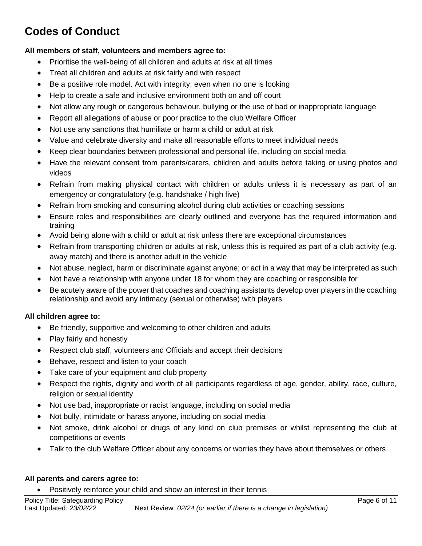# **Codes of Conduct**

#### **All members of staff, volunteers and members agree to:**

- Prioritise the well-being of all children and adults at risk at all times
- Treat all children and adults at risk fairly and with respect
- Be a positive role model. Act with integrity, even when no one is looking
- Help to create a safe and inclusive environment both on and off court
- Not allow any rough or dangerous behaviour, bullying or the use of bad or inappropriate language
- Report all allegations of abuse or poor practice to the club Welfare Officer
- Not use any sanctions that humiliate or harm a child or adult at risk
- Value and celebrate diversity and make all reasonable efforts to meet individual needs
- Keep clear boundaries between professional and personal life, including on social media
- Have the relevant consent from parents/carers, children and adults before taking or using photos and videos
- Refrain from making physical contact with children or adults unless it is necessary as part of an emergency or congratulatory (e.g. handshake / high five)
- Refrain from smoking and consuming alcohol during club activities or coaching sessions
- Ensure roles and responsibilities are clearly outlined and everyone has the required information and training
- Avoid being alone with a child or adult at risk unless there are exceptional circumstances
- Refrain from transporting children or adults at risk, unless this is required as part of a club activity (e.g. away match) and there is another adult in the vehicle
- Not abuse, neglect, harm or discriminate against anyone; or act in a way that may be interpreted as such
- Not have a relationship with anyone under 18 for whom they are coaching or responsible for
- Be acutely aware of the power that coaches and coaching assistants develop over players in the coaching relationship and avoid any intimacy (sexual or otherwise) with players

#### **All children agree to:**

- Be friendly, supportive and welcoming to other children and adults
- Play fairly and honestly
- Respect club staff, volunteers and Officials and accept their decisions
- Behave, respect and listen to your coach
- Take care of your equipment and club property
- Respect the rights, dignity and worth of all participants regardless of age, gender, ability, race, culture, religion or sexual identity
- Not use bad, inappropriate or racist language, including on social media
- Not bully, intimidate or harass anyone, including on social media
- Not smoke, drink alcohol or drugs of any kind on club premises or whilst representing the club at competitions or events
- Talk to the club Welfare Officer about any concerns or worries they have about themselves or others

#### **All parents and carers agree to:**

Positively reinforce your child and show an interest in their tennis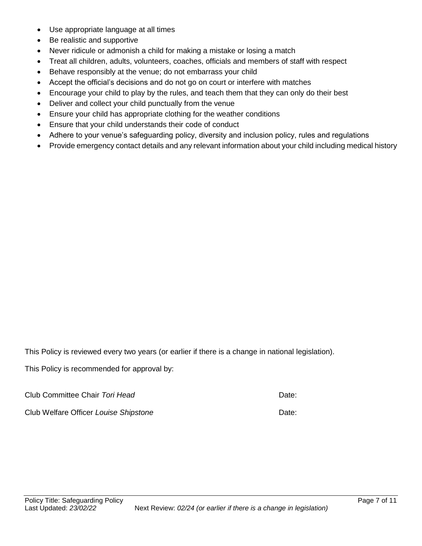- Use appropriate language at all times
- Be realistic and supportive
- Never ridicule or admonish a child for making a mistake or losing a match
- Treat all children, adults, volunteers, coaches, officials and members of staff with respect
- Behave responsibly at the venue; do not embarrass your child
- Accept the official's decisions and do not go on court or interfere with matches
- Encourage your child to play by the rules, and teach them that they can only do their best
- Deliver and collect your child punctually from the venue
- Ensure your child has appropriate clothing for the weather conditions
- Ensure that your child understands their code of conduct
- Adhere to your venue's safeguarding policy, diversity and inclusion policy, rules and regulations
- Provide emergency contact details and any relevant information about your child including medical history

This Policy is reviewed every two years (or earlier if there is a change in national legislation).

This Policy is recommended for approval by:

Club Committee Chair *Tori Head* Date:

Club Welfare Officer *Louise Shipstone* Date: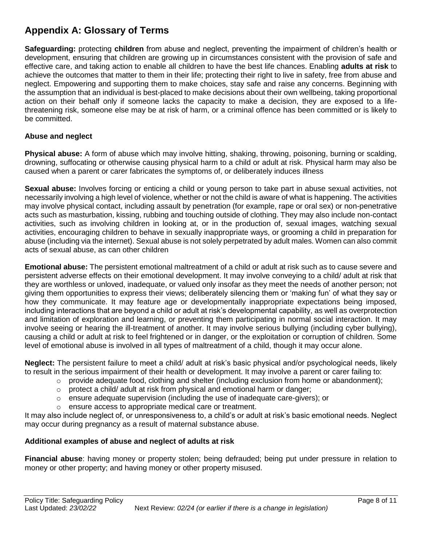## **Appendix A: Glossary of Terms**

**Safeguarding:** protecting **children** from abuse and neglect, preventing the impairment of children's health or development, ensuring that children are growing up in circumstances consistent with the provision of safe and effective care, and taking action to enable all children to have the best life chances. Enabling **adults at risk** to achieve the outcomes that matter to them in their life; protecting their right to live in safety, free from abuse and neglect. Empowering and supporting them to make choices, stay safe and raise any concerns. Beginning with the assumption that an individual is best-placed to make decisions about their own wellbeing, taking proportional action on their behalf only if someone lacks the capacity to make a decision, they are exposed to a lifethreatening risk, someone else may be at risk of harm, or a criminal offence has been committed or is likely to be committed.

#### **Abuse and neglect**

**Physical abuse:** A form of abuse which may involve hitting, shaking, throwing, poisoning, burning or scalding, drowning, suffocating or otherwise causing physical harm to a child or adult at risk. Physical harm may also be caused when a parent or carer fabricates the symptoms of, or deliberately induces illness

**Sexual abuse:** Involves forcing or enticing a child or young person to take part in abuse sexual activities, not necessarily involving a high level of violence, whether or not the child is aware of what is happening. The activities may involve physical contact, including assault by penetration (for example, rape or oral sex) or non-penetrative acts such as masturbation, kissing, rubbing and touching outside of clothing. They may also include non-contact activities, such as involving children in looking at, or in the production of, sexual images, watching sexual activities, encouraging children to behave in sexually inappropriate ways, or grooming a child in preparation for abuse (including via the internet). Sexual abuse is not solely perpetrated by adult males. Women can also commit acts of sexual abuse, as can other children

**Emotional abuse:** The persistent emotional maltreatment of a child or adult at risk such as to cause severe and persistent adverse effects on their emotional development. It may involve conveying to a child/ adult at risk that they are worthless or unloved, inadequate, or valued only insofar as they meet the needs of another person; not giving them opportunities to express their views; deliberately silencing them or 'making fun' of what they say or how they communicate. It may feature age or developmentally inappropriate expectations being imposed, including interactions that are beyond a child or adult at risk's developmental capability, as well as overprotection and limitation of exploration and learning, or preventing them participating in normal social interaction. It may involve seeing or hearing the ill-treatment of another. It may involve serious bullying (including cyber bullying), causing a child or adult at risk to feel frightened or in danger, or the exploitation or corruption of children. Some level of emotional abuse is involved in all types of maltreatment of a child, though it may occur alone.

**Neglect:** The persistent failure to meet a child/ adult at risk's basic physical and/or psychological needs, likely to result in the serious impairment of their health or development. It may involve a parent or carer failing to:

- $\circ$  provide adequate food, clothing and shelter (including exclusion from home or abandonment);
- $\circ$  protect a child/ adult at risk from physical and emotional harm or danger;
- o ensure adequate supervision (including the use of inadequate care-givers); or
- o ensure access to appropriate medical care or treatment.

It may also include neglect of, or unresponsiveness to, a child's or adult at risk's basic emotional needs. Neglect may occur during pregnancy as a result of maternal substance abuse.

#### **Additional examples of abuse and neglect of adults at risk**

**Financial abuse**: having money or property stolen; being defrauded; being put under pressure in relation to money or other property; and having money or other property misused.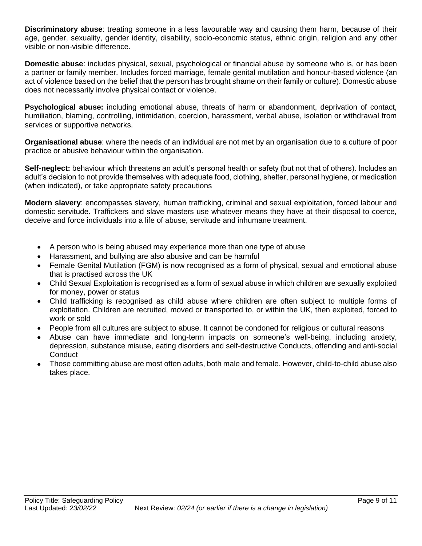**Discriminatory abuse**: treating someone in a less favourable way and causing them harm, because of their age, gender, sexuality, gender identity, disability, socio-economic status, ethnic origin, religion and any other visible or non-visible difference.

**Domestic abuse**: includes physical, sexual, psychological or financial abuse by someone who is, or has been a partner or family member. Includes forced marriage, female genital mutilation and honour-based violence (an act of violence based on the belief that the person has brought shame on their family or culture). Domestic abuse does not necessarily involve physical contact or violence.

**Psychological abuse:** including emotional abuse, threats of harm or abandonment, deprivation of contact, humiliation, blaming, controlling, intimidation, coercion, harassment, verbal abuse, isolation or withdrawal from services or supportive networks.

**Organisational abuse**: where the needs of an individual are not met by an organisation due to a culture of poor practice or abusive behaviour within the organisation.

**Self-neglect:** behaviour which threatens an adult's personal health or safety (but not that of others). Includes an adult's decision to not provide themselves with adequate food, clothing, shelter, personal hygiene, or medication (when indicated), or take appropriate safety precautions

**Modern slavery**: encompasses slavery, human trafficking, criminal and sexual exploitation, forced labour and domestic servitude. Traffickers and slave masters use whatever means they have at their disposal to coerce, deceive and force individuals into a life of abuse, servitude and inhumane treatment.

- A person who is being abused may experience more than one type of abuse
- Harassment, and bullying are also abusive and can be harmful
- Female Genital Mutilation (FGM) is now recognised as a form of physical, sexual and emotional abuse that is practised across the UK
- Child Sexual Exploitation is recognised as a form of sexual abuse in which children are sexually exploited for money, power or status
- Child trafficking is recognised as child abuse where children are often subject to multiple forms of exploitation. Children are recruited, moved or transported to, or within the UK, then exploited, forced to work or sold
- People from all cultures are subject to abuse. It cannot be condoned for religious or cultural reasons
- Abuse can have immediate and long-term impacts on someone's well-being, including anxiety, depression, substance misuse, eating disorders and self-destructive Conducts, offending and anti-social **Conduct**
- Those committing abuse are most often adults, both male and female. However, child-to-child abuse also takes place.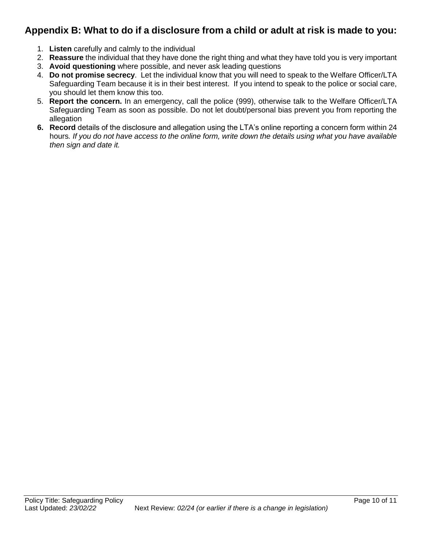## **Appendix B: What to do if a disclosure from a child or adult at risk is made to you:**

- 1. **Listen** carefully and calmly to the individual
- 2. **Reassure** the individual that they have done the right thing and what they have told you is very important
- 3. **Avoid questioning** where possible, and never ask leading questions
- 4. **Do not promise secrecy**. Let the individual know that you will need to speak to the Welfare Officer/LTA Safeguarding Team because it is in their best interest. If you intend to speak to the police or social care, you should let them know this too.
- 5. **Report the concern.** In an emergency, call the police (999), otherwise talk to the Welfare Officer/LTA Safeguarding Team as soon as possible. Do not let doubt/personal bias prevent you from reporting the allegation
- **6. Record** details of the disclosure and allegation using the LTA's online reporting a concern form within 24 hours*. If you do not have access to the online form, write down the details using what you have available then sign and date it.*